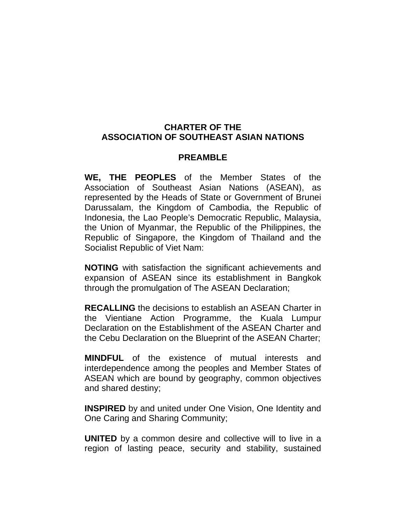#### **CHARTER OF THE ASSOCIATION OF SOUTHEAST ASIAN NATIONS**

#### **PREAMBLE**

**WE, THE PEOPLES** of the Member States of the Association of Southeast Asian Nations (ASEAN), as represented by the Heads of State or Government of Brunei Darussalam, the Kingdom of Cambodia, the Republic of Indonesia, the Lao People's Democratic Republic, Malaysia, the Union of Myanmar, the Republic of the Philippines, the Republic of Singapore, the Kingdom of Thailand and the Socialist Republic of Viet Nam:

**NOTING** with satisfaction the significant achievements and expansion of ASEAN since its establishment in Bangkok through the promulgation of The ASEAN Declaration;

**RECALLING** the decisions to establish an ASEAN Charter in the Vientiane Action Programme, the Kuala Lumpur Declaration on the Establishment of the ASEAN Charter and the Cebu Declaration on the Blueprint of the ASEAN Charter;

**MINDFUL** of the existence of mutual interests and interdependence among the peoples and Member States of ASEAN which are bound by geography, common objectives and shared destiny;

**INSPIRED** by and united under One Vision, One Identity and One Caring and Sharing Community;

**UNITED** by a common desire and collective will to live in a region of lasting peace, security and stability, sustained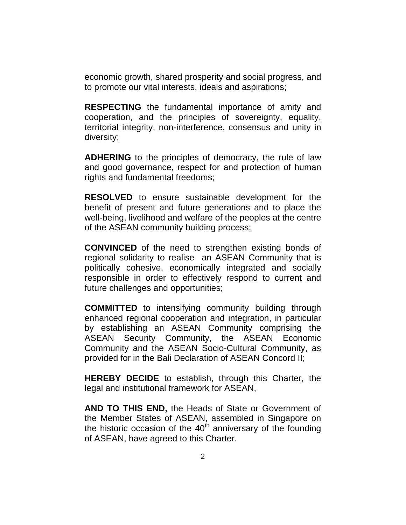economic growth, shared prosperity and social progress, and to promote our vital interests, ideals and aspirations;

**RESPECTING** the fundamental importance of amity and cooperation, and the principles of sovereignty, equality, territorial integrity, non-interference, consensus and unity in diversity;

**ADHERING** to the principles of democracy, the rule of law and good governance, respect for and protection of human rights and fundamental freedoms;

**RESOLVED** to ensure sustainable development for the benefit of present and future generations and to place the well-being, livelihood and welfare of the peoples at the centre of the ASEAN community building process;

**CONVINCED** of the need to strengthen existing bonds of regional solidarity to realise an ASEAN Community that is politically cohesive, economically integrated and socially responsible in order to effectively respond to current and future challenges and opportunities;

**COMMITTED** to intensifying community building through enhanced regional cooperation and integration, in particular by establishing an ASEAN Community comprising the ASEAN Security Community, the ASEAN Economic Community and the ASEAN Socio-Cultural Community, as provided for in the Bali Declaration of ASEAN Concord II;

**HEREBY DECIDE** to establish, through this Charter, the legal and institutional framework for ASEAN,

**AND TO THIS END,** the Heads of State or Government of the Member States of ASEAN, assembled in Singapore on the historic occasion of the  $40<sup>th</sup>$  anniversary of the founding of ASEAN, have agreed to this Charter.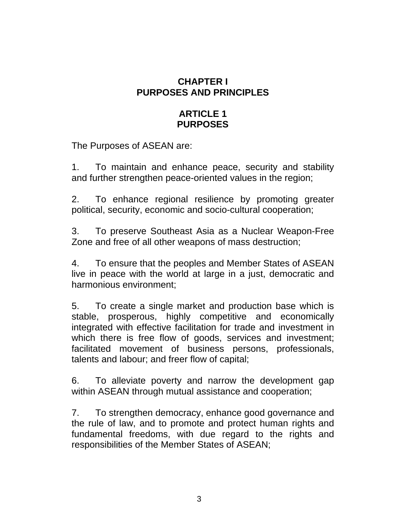## **CHAPTER I PURPOSES AND PRINCIPLES**

## **ARTICLE 1 PURPOSES**

The Purposes of ASEAN are:

1. To maintain and enhance peace, security and stability and further strengthen peace-oriented values in the region;

2. To enhance regional resilience by promoting greater political, security, economic and socio-cultural cooperation;

3. To preserve Southeast Asia as a Nuclear Weapon-Free Zone and free of all other weapons of mass destruction;

4. To ensure that the peoples and Member States of ASEAN live in peace with the world at large in a just, democratic and harmonious environment;

5. To create a single market and production base which is stable, prosperous, highly competitive and economically integrated with effective facilitation for trade and investment in which there is free flow of goods, services and investment; facilitated movement of business persons, professionals, talents and labour; and freer flow of capital;

6. To alleviate poverty and narrow the development gap within ASEAN through mutual assistance and cooperation;

7. To strengthen democracy, enhance good governance and the rule of law, and to promote and protect human rights and fundamental freedoms, with due regard to the rights and responsibilities of the Member States of ASEAN;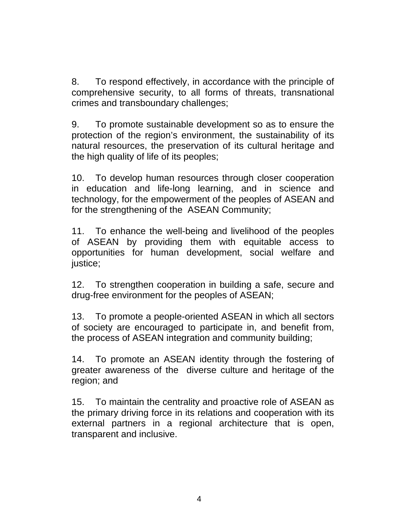8. To respond effectively, in accordance with the principle of comprehensive security, to all forms of threats, transnational crimes and transboundary challenges;

9. To promote sustainable development so as to ensure the protection of the region's environment, the sustainability of its natural resources, the preservation of its cultural heritage and the high quality of life of its peoples;

10. To develop human resources through closer cooperation in education and life-long learning, and in science and technology, for the empowerment of the peoples of ASEAN and for the strengthening of the ASEAN Community;

11. To enhance the well-being and livelihood of the peoples of ASEAN by providing them with equitable access to opportunities for human development, social welfare and justice;

12. To strengthen cooperation in building a safe, secure and drug-free environment for the peoples of ASEAN;

13. To promote a people-oriented ASEAN in which all sectors of society are encouraged to participate in, and benefit from, the process of ASEAN integration and community building;

14. To promote an ASEAN identity through the fostering of greater awareness of the diverse culture and heritage of the region; and

15. To maintain the centrality and proactive role of ASEAN as the primary driving force in its relations and cooperation with its external partners in a regional architecture that is open, transparent and inclusive.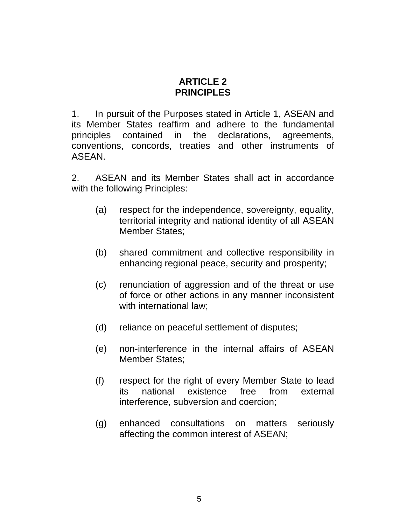#### **ARTICLE 2 PRINCIPLES**

1. In pursuit of the Purposes stated in Article 1, ASEAN and its Member States reaffirm and adhere to the fundamental principles contained in the declarations, agreements, conventions, concords, treaties and other instruments of ASEAN.

2. ASEAN and its Member States shall act in accordance with the following Principles:

- (a) respect for the independence, sovereignty, equality, territorial integrity and national identity of all ASEAN Member States;
- (b) shared commitment and collective responsibility in enhancing regional peace, security and prosperity;
- (c) renunciation of aggression and of the threat or use of force or other actions in any manner inconsistent with international law;
- (d) reliance on peaceful settlement of disputes;
- (e) non-interference in the internal affairs of ASEAN Member States;
- (f) respect for the right of every Member State to lead its national existence free from external interference, subversion and coercion;
- (g) enhanced consultations on matters seriously affecting the common interest of ASEAN;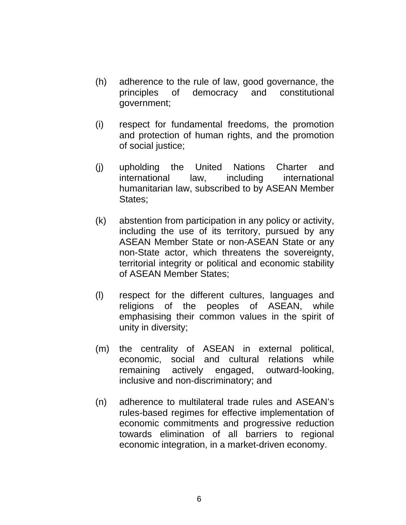- (h) adherence to the rule of law, good governance, the principles of democracy and constitutional government;
- (i) respect for fundamental freedoms, the promotion and protection of human rights, and the promotion of social justice;
- (j) upholding the United Nations Charter and international law, including international humanitarian law, subscribed to by ASEAN Member States;
- (k) abstention from participation in any policy or activity, including the use of its territory, pursued by any ASEAN Member State or non-ASEAN State or any non-State actor, which threatens the sovereignty, territorial integrity or political and economic stability of ASEAN Member States;
- (l) respect for the different cultures, languages and religions of the peoples of ASEAN, while emphasising their common values in the spirit of unity in diversity;
- (m) the centrality of ASEAN in external political, economic, social and cultural relations while remaining actively engaged, outward-looking, inclusive and non-discriminatory; and
- (n) adherence to multilateral trade rules and ASEAN's rules-based regimes for effective implementation of economic commitments and progressive reduction towards elimination of all barriers to regional economic integration, in a market-driven economy.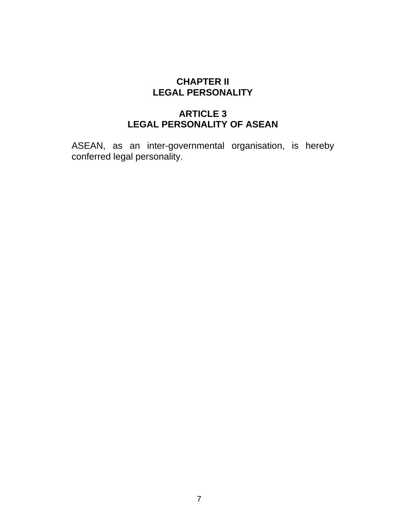## **CHAPTER II LEGAL PERSONALITY**

## **ARTICLE 3 LEGAL PERSONALITY OF ASEAN**

ASEAN, as an inter-governmental organisation, is hereby conferred legal personality.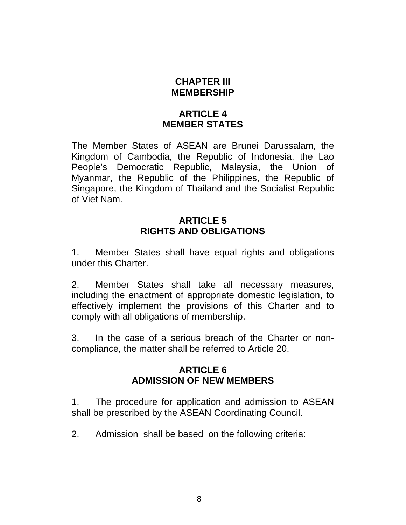## **CHAPTER III MEMBERSHIP**

## **ARTICLE 4 MEMBER STATES**

The Member States of ASEAN are Brunei Darussalam, the Kingdom of Cambodia, the Republic of Indonesia, the Lao People's Democratic Republic, Malaysia, the Union of Myanmar, the Republic of the Philippines, the Republic of Singapore, the Kingdom of Thailand and the Socialist Republic of Viet Nam.

## **ARTICLE 5 RIGHTS AND OBLIGATIONS**

1. Member States shall have equal rights and obligations under this Charter.

2. Member States shall take all necessary measures, including the enactment of appropriate domestic legislation, to effectively implement the provisions of this Charter and to comply with all obligations of membership.

3. In the case of a serious breach of the Charter or noncompliance, the matter shall be referred to Article 20.

#### **ARTICLE 6 ADMISSION OF NEW MEMBERS**

1. The procedure for application and admission to ASEAN shall be prescribed by the ASEAN Coordinating Council.

2. Admission shall be based on the following criteria: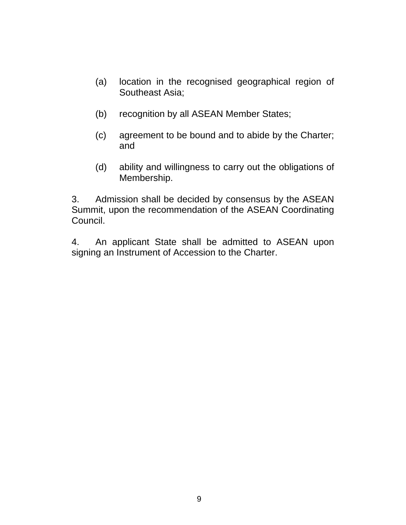- (a) location in the recognised geographical region of Southeast Asia;
- (b) recognition by all ASEAN Member States;
- (c) agreement to be bound and to abide by the Charter; and
- (d) ability and willingness to carry out the obligations of Membership.

3. Admission shall be decided by consensus by the ASEAN Summit, upon the recommendation of the ASEAN Coordinating Council.

4. An applicant State shall be admitted to ASEAN upon signing an Instrument of Accession to the Charter.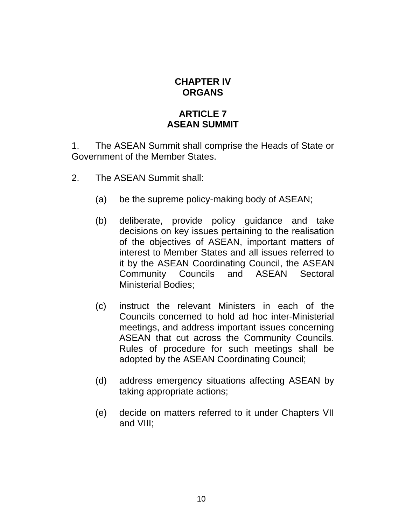## **CHAPTER IV ORGANS**

## **ARTICLE 7 ASEAN SUMMIT**

1. The ASEAN Summit shall comprise the Heads of State or Government of the Member States.

- 2. The ASEAN Summit shall:
	- (a) be the supreme policy-making body of ASEAN;
	- (b) deliberate, provide policy guidance and take decisions on key issues pertaining to the realisation of the objectives of ASEAN, important matters of interest to Member States and all issues referred to it by the ASEAN Coordinating Council, the ASEAN Community Councils and ASEAN Sectoral Ministerial Bodies;
	- (c) instruct the relevant Ministers in each of the Councils concerned to hold ad hoc inter-Ministerial meetings, and address important issues concerning ASEAN that cut across the Community Councils. Rules of procedure for such meetings shall be adopted by the ASEAN Coordinating Council;
	- (d) address emergency situations affecting ASEAN by taking appropriate actions;
	- (e) decide on matters referred to it under Chapters VII and VIII;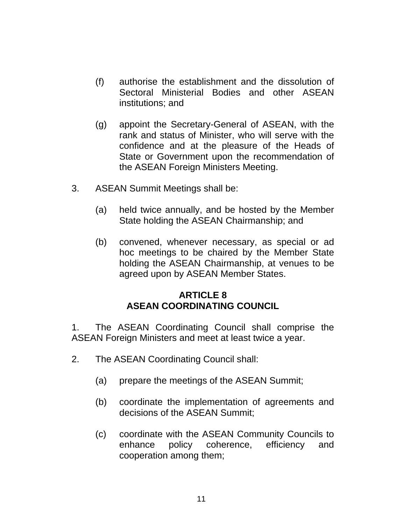- (f) authorise the establishment and the dissolution of Sectoral Ministerial Bodies and other ASEAN institutions; and
- (g) appoint the Secretary-General of ASEAN, with the rank and status of Minister, who will serve with the confidence and at the pleasure of the Heads of State or Government upon the recommendation of the ASEAN Foreign Ministers Meeting.
- 3. ASEAN Summit Meetings shall be:
	- (a) held twice annually, and be hosted by the Member State holding the ASEAN Chairmanship; and
	- (b) convened, whenever necessary, as special or ad hoc meetings to be chaired by the Member State holding the ASEAN Chairmanship, at venues to be agreed upon by ASEAN Member States.

## **ARTICLE 8 ASEAN COORDINATING COUNCIL**

1. The ASEAN Coordinating Council shall comprise the ASEAN Foreign Ministers and meet at least twice a year.

- 2. The ASEAN Coordinating Council shall:
	- (a) prepare the meetings of the ASEAN Summit;
	- (b) coordinate the implementation of agreements and decisions of the ASEAN Summit;
	- (c) coordinate with the ASEAN Community Councils to enhance policy coherence, efficiency and cooperation among them;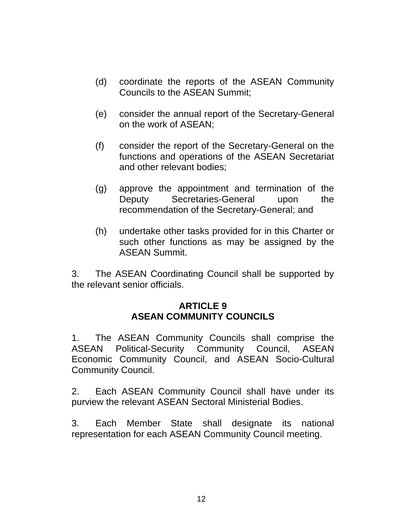- (d) coordinate the reports of the ASEAN Community Councils to the ASEAN Summit;
- (e) consider the annual report of the Secretary-General on the work of ASEAN;
- (f) consider the report of the Secretary-General on the functions and operations of the ASEAN Secretariat and other relevant bodies;
- (g) approve the appointment and termination of the Deputy Secretaries-General upon the recommendation of the Secretary-General; and
- (h) undertake other tasks provided for in this Charter or such other functions as may be assigned by the ASEAN Summit.

3. The ASEAN Coordinating Council shall be supported by the relevant senior officials.

#### **ARTICLE 9 ASEAN COMMUNITY COUNCILS**

1. The ASEAN Community Councils shall comprise the ASEAN Political-Security Community Council, ASEAN Economic Community Council, and ASEAN Socio-Cultural Community Council.

2. Each ASEAN Community Council shall have under its purview the relevant ASEAN Sectoral Ministerial Bodies.

3. Each Member State shall designate its national representation for each ASEAN Community Council meeting.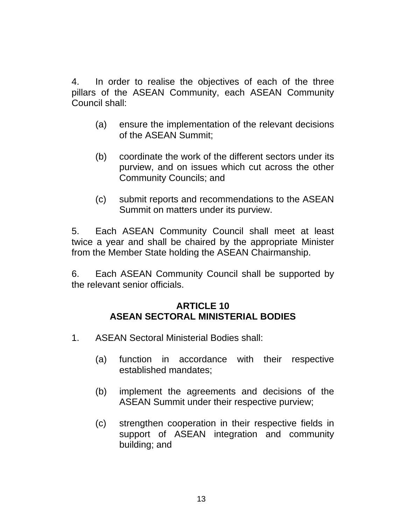4. In order to realise the objectives of each of the three pillars of the ASEAN Community, each ASEAN Community Council shall:

- (a) ensure the implementation of the relevant decisions of the ASEAN Summit;
- (b) coordinate the work of the different sectors under its purview, and on issues which cut across the other Community Councils; and
- (c) submit reports and recommendations to the ASEAN Summit on matters under its purview.

5. Each ASEAN Community Council shall meet at least twice a year and shall be chaired by the appropriate Minister from the Member State holding the ASEAN Chairmanship.

6. Each ASEAN Community Council shall be supported by the relevant senior officials.

## **ARTICLE 10 ASEAN SECTORAL MINISTERIAL BODIES**

- 1. ASEAN Sectoral Ministerial Bodies shall:
	- (a) function in accordance with their respective established mandates;
	- (b) implement the agreements and decisions of the ASEAN Summit under their respective purview;
	- (c) strengthen cooperation in their respective fields in support of ASEAN integration and community building; and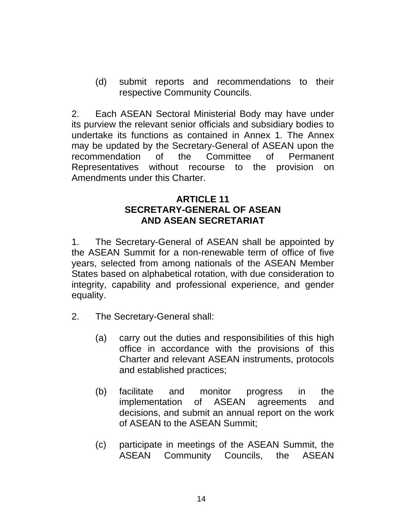(d) submit reports and recommendations to their respective Community Councils.

2. Each ASEAN Sectoral Ministerial Body may have under its purview the relevant senior officials and subsidiary bodies to undertake its functions as contained in Annex 1. The Annex may be updated by the Secretary-General of ASEAN upon the recommendation of the Committee of Permanent Representatives without recourse to the provision on Amendments under this Charter.

## **ARTICLE 11 SECRETARY-GENERAL OF ASEAN AND ASEAN SECRETARIAT**

1. The Secretary-General of ASEAN shall be appointed by the ASEAN Summit for a non-renewable term of office of five years, selected from among nationals of the ASEAN Member States based on alphabetical rotation, with due consideration to integrity, capability and professional experience, and gender equality.

- 2. The Secretary-General shall:
	- (a) carry out the duties and responsibilities of this high office in accordance with the provisions of this Charter and relevant ASEAN instruments, protocols and established practices;
	- (b) facilitate and monitor progress in the implementation of ASEAN agreements and decisions, and submit an annual report on the work of ASEAN to the ASEAN Summit;
	- (c) participate in meetings of the ASEAN Summit, the ASEAN Community Councils, the ASEAN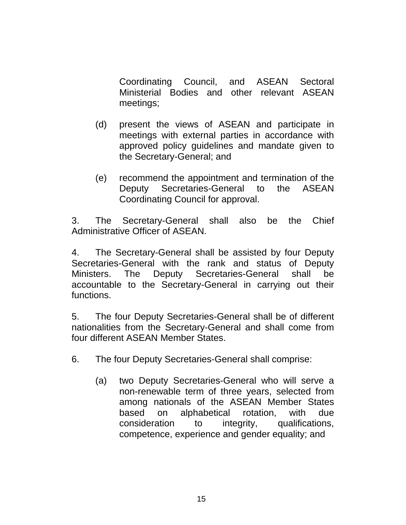Coordinating Council, and ASEAN Sectoral Ministerial Bodies and other relevant ASEAN meetings;

- (d) present the views of ASEAN and participate in meetings with external parties in accordance with approved policy guidelines and mandate given to the Secretary-General; and
- (e) recommend the appointment and termination of the Deputy Secretaries-General to the ASEAN Coordinating Council for approval.

3. The Secretary-General shall also be the Chief Administrative Officer of ASEAN.

4. The Secretary-General shall be assisted by four Deputy Secretaries-General with the rank and status of Deputy Ministers. The Deputy Secretaries-General shall be accountable to the Secretary-General in carrying out their functions.

5. The four Deputy Secretaries-General shall be of different nationalities from the Secretary-General and shall come from four different ASEAN Member States.

6. The four Deputy Secretaries-General shall comprise:

(a) two Deputy Secretaries-General who will serve a non-renewable term of three years, selected from among nationals of the ASEAN Member States based on alphabetical rotation, with due consideration to integrity, qualifications, competence, experience and gender equality; and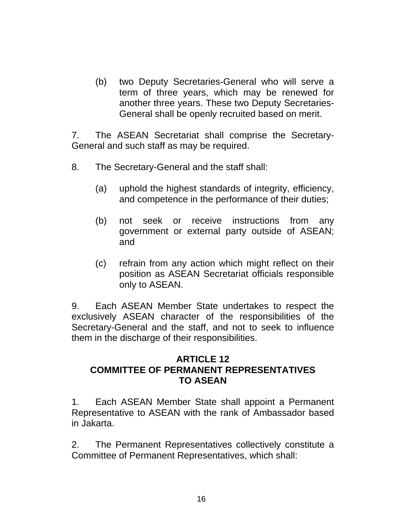(b) two Deputy Secretaries-General who will serve a term of three years, which may be renewed for another three years. These two Deputy Secretaries-General shall be openly recruited based on merit.

7. The ASEAN Secretariat shall comprise the Secretary-General and such staff as may be required.

- 8. The Secretary-General and the staff shall:
	- (a) uphold the highest standards of integrity, efficiency, and competence in the performance of their duties;
	- (b) not seek or receive instructions from any government or external party outside of ASEAN; and
	- (c) refrain from any action which might reflect on their position as ASEAN Secretariat officials responsible only to ASEAN.

9. Each ASEAN Member State undertakes to respect the exclusively ASEAN character of the responsibilities of the Secretary-General and the staff, and not to seek to influence them in the discharge of their responsibilities.

#### **ARTICLE 12 COMMITTEE OF PERMANENT REPRESENTATIVES TO ASEAN**

1. Each ASEAN Member State shall appoint a Permanent Representative to ASEAN with the rank of Ambassador based in Jakarta.

2. The Permanent Representatives collectively constitute a Committee of Permanent Representatives, which shall: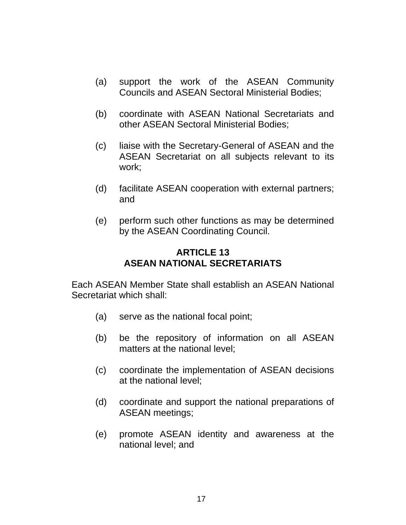- (a) support the work of the ASEAN Community Councils and ASEAN Sectoral Ministerial Bodies;
- (b) coordinate with ASEAN National Secretariats and other ASEAN Sectoral Ministerial Bodies;
- (c) liaise with the Secretary-General of ASEAN and the ASEAN Secretariat on all subjects relevant to its work;
- (d) facilitate ASEAN cooperation with external partners; and
- (e) perform such other functions as may be determined by the ASEAN Coordinating Council.

## **ARTICLE 13 ASEAN NATIONAL SECRETARIATS**

Each ASEAN Member State shall establish an ASEAN National Secretariat which shall:

- (a) serve as the national focal point;
- (b) be the repository of information on all ASEAN matters at the national level;
- (c) coordinate the implementation of ASEAN decisions at the national level;
- (d) coordinate and support the national preparations of ASEAN meetings;
- (e) promote ASEAN identity and awareness at the national level; and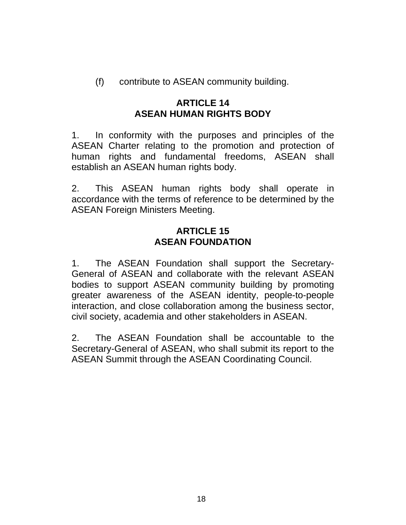(f) contribute to ASEAN community building.

## **ARTICLE 14 ASEAN HUMAN RIGHTS BODY**

1. In conformity with the purposes and principles of the ASEAN Charter relating to the promotion and protection of human rights and fundamental freedoms, ASEAN shall establish an ASEAN human rights body.

2. This ASEAN human rights body shall operate in accordance with the terms of reference to be determined by the ASEAN Foreign Ministers Meeting.

## **ARTICLE 15 ASEAN FOUNDATION**

1. The ASEAN Foundation shall support the Secretary-General of ASEAN and collaborate with the relevant ASEAN bodies to support ASEAN community building by promoting greater awareness of the ASEAN identity, people-to-people interaction, and close collaboration among the business sector, civil society, academia and other stakeholders in ASEAN.

2. The ASEAN Foundation shall be accountable to the Secretary-General of ASEAN, who shall submit its report to the ASEAN Summit through the ASEAN Coordinating Council.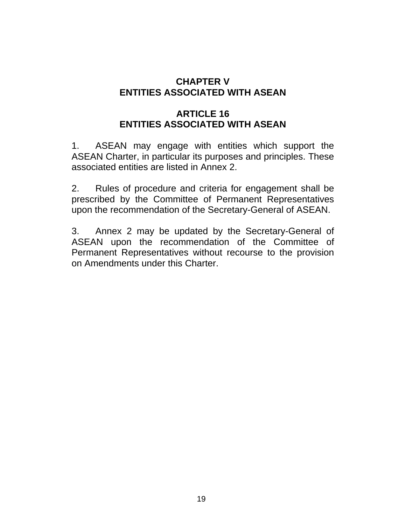## **CHAPTER V ENTITIES ASSOCIATED WITH ASEAN**

# **ARTICLE 16 ENTITIES ASSOCIATED WITH ASEAN**

1. ASEAN may engage with entities which support the ASEAN Charter, in particular its purposes and principles. These associated entities are listed in Annex 2.

2. Rules of procedure and criteria for engagement shall be prescribed by the Committee of Permanent Representatives upon the recommendation of the Secretary-General of ASEAN.

3. Annex 2 may be updated by the Secretary-General of ASEAN upon the recommendation of the Committee of Permanent Representatives without recourse to the provision on Amendments under this Charter.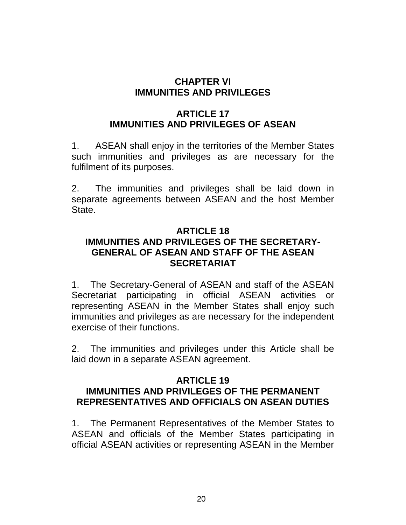## **CHAPTER VI IMMUNITIES AND PRIVILEGES**

# **ARTICLE 17 IMMUNITIES AND PRIVILEGES OF ASEAN**

1. ASEAN shall enjoy in the territories of the Member States such immunities and privileges as are necessary for the fulfilment of its purposes.

2. The immunities and privileges shall be laid down in separate agreements between ASEAN and the host Member State.

## **ARTICLE 18 IMMUNITIES AND PRIVILEGES OF THE SECRETARY-GENERAL OF ASEAN AND STAFF OF THE ASEAN SECRETARIAT**

1. The Secretary-General of ASEAN and staff of the ASEAN Secretariat participating in official ASEAN activities or representing ASEAN in the Member States shall enjoy such immunities and privileges as are necessary for the independent exercise of their functions.

2. The immunities and privileges under this Article shall be laid down in a separate ASEAN agreement.

#### **ARTICLE 19 IMMUNITIES AND PRIVILEGES OF THE PERMANENT REPRESENTATIVES AND OFFICIALS ON ASEAN DUTIES**

1. The Permanent Representatives of the Member States to ASEAN and officials of the Member States participating in official ASEAN activities or representing ASEAN in the Member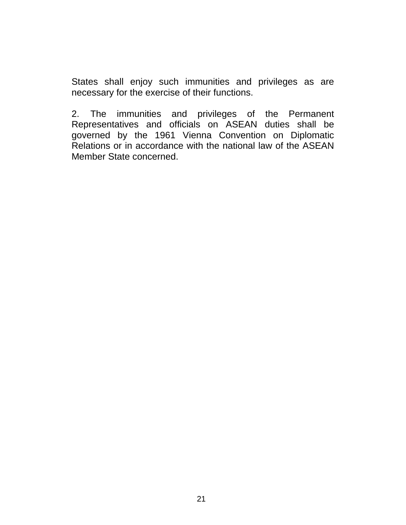States shall enjoy such immunities and privileges as are necessary for the exercise of their functions.

2. The immunities and privileges of the Permanent Representatives and officials on ASEAN duties shall be governed by the 1961 Vienna Convention on Diplomatic Relations or in accordance with the national law of the ASEAN Member State concerned.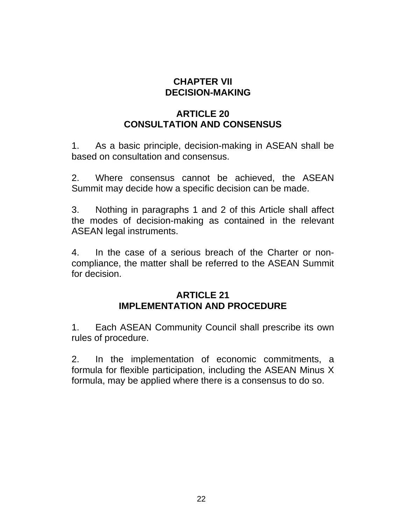## **CHAPTER VII DECISION-MAKING**

# **ARTICLE 20 CONSULTATION AND CONSENSUS**

1. As a basic principle, decision-making in ASEAN shall be based on consultation and consensus.

2. Where consensus cannot be achieved, the ASEAN Summit may decide how a specific decision can be made.

3. Nothing in paragraphs 1 and 2 of this Article shall affect the modes of decision-making as contained in the relevant ASEAN legal instruments.

4. In the case of a serious breach of the Charter or noncompliance, the matter shall be referred to the ASEAN Summit for decision.

#### **ARTICLE 21 IMPLEMENTATION AND PROCEDURE**

1. Each ASEAN Community Council shall prescribe its own rules of procedure.

2. In the implementation of economic commitments, a formula for flexible participation, including the ASEAN Minus X formula, may be applied where there is a consensus to do so.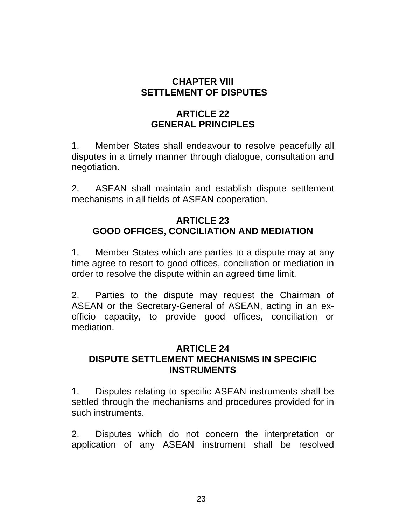## **CHAPTER VIII SETTLEMENT OF DISPUTES**

# **ARTICLE 22 GENERAL PRINCIPLES**

1. Member States shall endeavour to resolve peacefully all disputes in a timely manner through dialogue, consultation and negotiation.

2. ASEAN shall maintain and establish dispute settlement mechanisms in all fields of ASEAN cooperation.

## **ARTICLE 23 GOOD OFFICES, CONCILIATION AND MEDIATION**

1. Member States which are parties to a dispute may at any time agree to resort to good offices, conciliation or mediation in order to resolve the dispute within an agreed time limit.

2. Parties to the dispute may request the Chairman of ASEAN or the Secretary-General of ASEAN, acting in an exofficio capacity, to provide good offices, conciliation or mediation.

## **ARTICLE 24 DISPUTE SETTLEMENT MECHANISMS IN SPECIFIC INSTRUMENTS**

1. Disputes relating to specific ASEAN instruments shall be settled through the mechanisms and procedures provided for in such instruments.

2. Disputes which do not concern the interpretation or application of any ASEAN instrument shall be resolved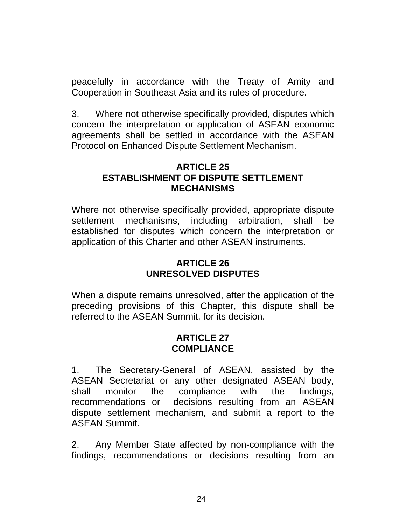peacefully in accordance with the Treaty of Amity and Cooperation in Southeast Asia and its rules of procedure.

3. Where not otherwise specifically provided, disputes which concern the interpretation or application of ASEAN economic agreements shall be settled in accordance with the ASEAN Protocol on Enhanced Dispute Settlement Mechanism.

### **ARTICLE 25 ESTABLISHMENT OF DISPUTE SETTLEMENT MECHANISMS**

Where not otherwise specifically provided, appropriate dispute settlement mechanisms, including arbitration, shall be established for disputes which concern the interpretation or application of this Charter and other ASEAN instruments.

## **ARTICLE 26 UNRESOLVED DISPUTES**

When a dispute remains unresolved, after the application of the preceding provisions of this Chapter, this dispute shall be referred to the ASEAN Summit, for its decision.

## **ARTICLE 27 COMPLIANCE**

1. The Secretary-General of ASEAN, assisted by the ASEAN Secretariat or any other designated ASEAN body, shall monitor the compliance with the findings, recommendations or decisions resulting from an ASEAN dispute settlement mechanism, and submit a report to the ASEAN Summit.

2. Any Member State affected by non-compliance with the findings, recommendations or decisions resulting from an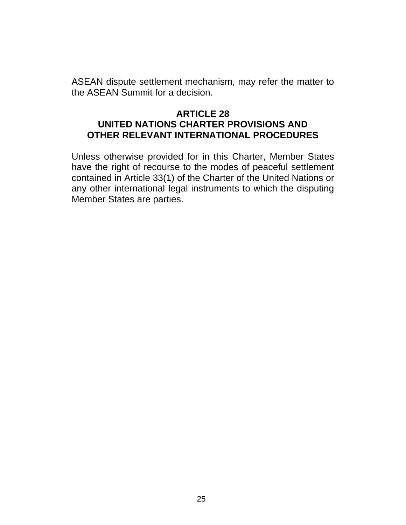ASEAN dispute settlement mechanism, may refer the matter to the ASEAN Summit for a decision.

#### **ARTICLE 28 UNITED NATIONS CHARTER PROVISIONS AND OTHER RELEVANT INTERNATIONAL PROCEDURES**

Unless otherwise provided for in this Charter, Member States have the right of recourse to the modes of peaceful settlement contained in Article 33(1) of the Charter of the United Nations or any other international legal instruments to which the disputing Member States are parties.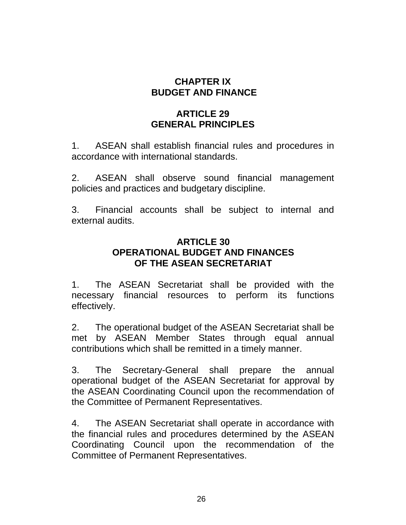## **CHAPTER IX BUDGET AND FINANCE**

# **ARTICLE 29 GENERAL PRINCIPLES**

1. ASEAN shall establish financial rules and procedures in accordance with international standards.

2. ASEAN shall observe sound financial management policies and practices and budgetary discipline.

3. Financial accounts shall be subject to internal and external audits.

## **ARTICLE 30 OPERATIONAL BUDGET AND FINANCES OF THE ASEAN SECRETARIAT**

1. The ASEAN Secretariat shall be provided with the necessary financial resources to perform its functions effectively.

2. The operational budget of the ASEAN Secretariat shall be met by ASEAN Member States through equal annual contributions which shall be remitted in a timely manner.

3. The Secretary-General shall prepare the annual operational budget of the ASEAN Secretariat for approval by the ASEAN Coordinating Council upon the recommendation of the Committee of Permanent Representatives.

4. The ASEAN Secretariat shall operate in accordance with the financial rules and procedures determined by the ASEAN Coordinating Council upon the recommendation of the Committee of Permanent Representatives.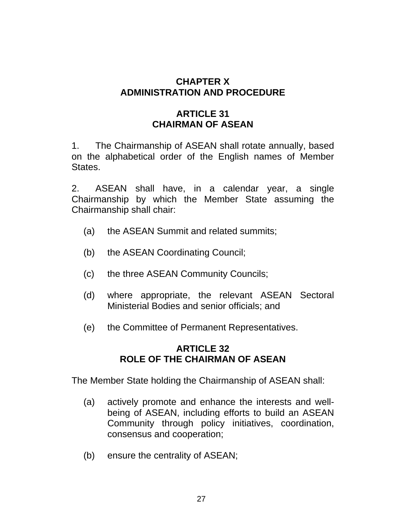## **CHAPTER X ADMINISTRATION AND PROCEDURE**

## **ARTICLE 31 CHAIRMAN OF ASEAN**

1. The Chairmanship of ASEAN shall rotate annually, based on the alphabetical order of the English names of Member States.

2. ASEAN shall have, in a calendar year, a single Chairmanship by which the Member State assuming the Chairmanship shall chair:

- (a) the ASEAN Summit and related summits;
- (b) the ASEAN Coordinating Council;
- (c) the three ASEAN Community Councils;
- (d) where appropriate, the relevant ASEAN Sectoral Ministerial Bodies and senior officials; and
- (e) the Committee of Permanent Representatives.

## **ARTICLE 32 ROLE OF THE CHAIRMAN OF ASEAN**

The Member State holding the Chairmanship of ASEAN shall:

- (a) actively promote and enhance the interests and wellbeing of ASEAN, including efforts to build an ASEAN Community through policy initiatives, coordination, consensus and cooperation;
- (b) ensure the centrality of ASEAN;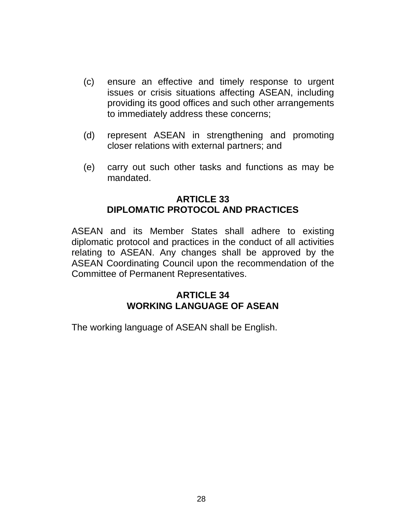- (c) ensure an effective and timely response to urgent issues or crisis situations affecting ASEAN, including providing its good offices and such other arrangements to immediately address these concerns;
- (d) represent ASEAN in strengthening and promoting closer relations with external partners; and
- (e) carry out such other tasks and functions as may be mandated.

## **ARTICLE 33 DIPLOMATIC PROTOCOL AND PRACTICES**

ASEAN and its Member States shall adhere to existing diplomatic protocol and practices in the conduct of all activities relating to ASEAN. Any changes shall be approved by the ASEAN Coordinating Council upon the recommendation of the Committee of Permanent Representatives.

## **ARTICLE 34 WORKING LANGUAGE OF ASEAN**

The working language of ASEAN shall be English.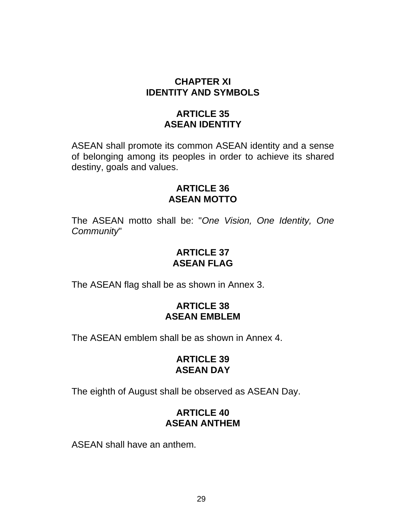## **CHAPTER XI IDENTITY AND SYMBOLS**

## **ARTICLE 35 ASEAN IDENTITY**

ASEAN shall promote its common ASEAN identity and a sense of belonging among its peoples in order to achieve its shared destiny, goals and values.

## **ARTICLE 36 ASEAN MOTTO**

The ASEAN motto shall be: "*One Vision, One Identity, One Community*"

## **ARTICLE 37 ASEAN FLAG**

The ASEAN flag shall be as shown in Annex 3.

## **ARTICLE 38 ASEAN EMBLEM**

The ASEAN emblem shall be as shown in Annex 4.

## **ARTICLE 39 ASEAN DAY**

The eighth of August shall be observed as ASEAN Day.

# **ARTICLE 40 ASEAN ANTHEM**

ASEAN shall have an anthem.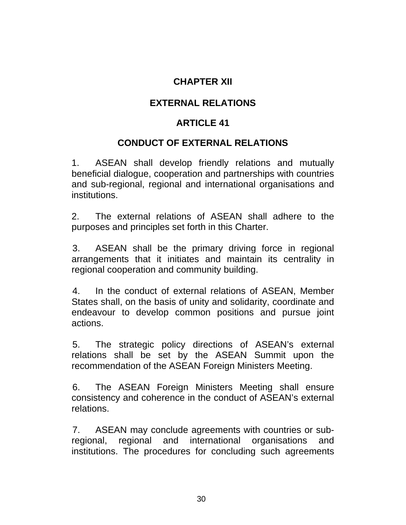## **CHAPTER XII**

## **EXTERNAL RELATIONS**

## **ARTICLE 41**

#### **CONDUCT OF EXTERNAL RELATIONS**

1. ASEAN shall develop friendly relations and mutually beneficial dialogue, cooperation and partnerships with countries and sub-regional, regional and international organisations and institutions.

2. The external relations of ASEAN shall adhere to the purposes and principles set forth in this Charter.

3. ASEAN shall be the primary driving force in regional arrangements that it initiates and maintain its centrality in regional cooperation and community building.

4. In the conduct of external relations of ASEAN, Member States shall, on the basis of unity and solidarity, coordinate and endeavour to develop common positions and pursue joint actions.

5. The strategic policy directions of ASEAN's external relations shall be set by the ASEAN Summit upon the recommendation of the ASEAN Foreign Ministers Meeting.

6. The ASEAN Foreign Ministers Meeting shall ensure consistency and coherence in the conduct of ASEAN's external relations.

7. ASEAN may conclude agreements with countries or subregional, regional and international organisations and institutions. The procedures for concluding such agreements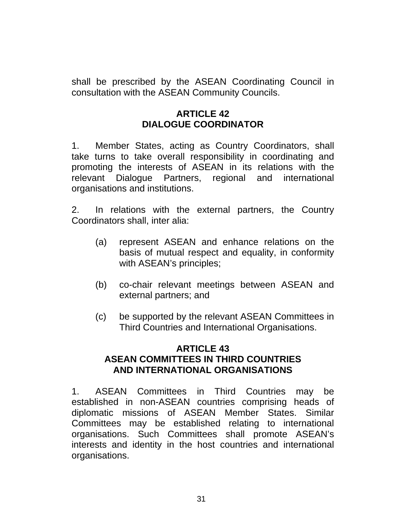shall be prescribed by the ASEAN Coordinating Council in consultation with the ASEAN Community Councils.

## **ARTICLE 42 DIALOGUE COORDINATOR**

1. Member States, acting as Country Coordinators, shall take turns to take overall responsibility in coordinating and promoting the interests of ASEAN in its relations with the relevant Dialogue Partners, regional and international organisations and institutions.

2. In relations with the external partners, the Country Coordinators shall, inter alia:

- (a) represent ASEAN and enhance relations on the basis of mutual respect and equality, in conformity with ASEAN's principles;
- (b) co-chair relevant meetings between ASEAN and external partners; and
- (c) be supported by the relevant ASEAN Committees in Third Countries and International Organisations.

## **ARTICLE 43 ASEAN COMMITTEES IN THIRD COUNTRIES AND INTERNATIONAL ORGANISATIONS**

1. ASEAN Committees in Third Countries may be established in non-ASEAN countries comprising heads of diplomatic missions of ASEAN Member States. Similar Committees may be established relating to international organisations. Such Committees shall promote ASEAN's interests and identity in the host countries and international organisations.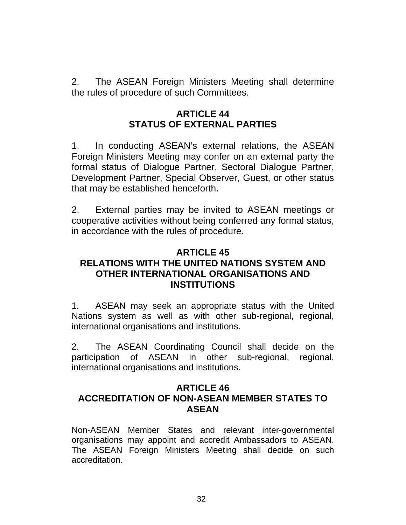2. The ASEAN Foreign Ministers Meeting shall determine the rules of procedure of such Committees.

## **ARTICLE 44 STATUS OF EXTERNAL PARTIES**

1. In conducting ASEAN's external relations, the ASEAN Foreign Ministers Meeting may confer on an external party the formal status of Dialogue Partner, Sectoral Dialogue Partner, Development Partner, Special Observer, Guest, or other status that may be established henceforth.

2. External parties may be invited to ASEAN meetings or cooperative activities without being conferred any formal status, in accordance with the rules of procedure.

#### **ARTICLE 45 RELATIONS WITH THE UNITED NATIONS SYSTEM AND OTHER INTERNATIONAL ORGANISATIONS AND INSTITUTIONS**

1. ASEAN may seek an appropriate status with the United Nations system as well as with other sub-regional, regional, international organisations and institutions.

2. The ASEAN Coordinating Council shall decide on the participation of ASEAN in other sub-regional, regional, international organisations and institutions.

## **ARTICLE 46 ACCREDITATION OF NON-ASEAN MEMBER STATES TO ASEAN**

Non-ASEAN Member States and relevant inter-governmental organisations may appoint and accredit Ambassadors to ASEAN. The ASEAN Foreign Ministers Meeting shall decide on such accreditation.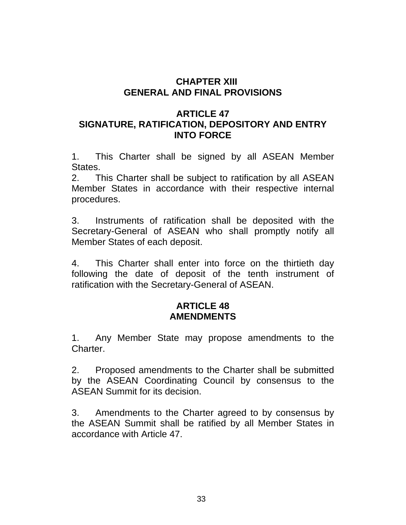## **CHAPTER XIII GENERAL AND FINAL PROVISIONS**

## **ARTICLE 47 SIGNATURE, RATIFICATION, DEPOSITORY AND ENTRY INTO FORCE**

1. This Charter shall be signed by all ASEAN Member States.

2. This Charter shall be subject to ratification by all ASEAN Member States in accordance with their respective internal procedures.

3. Instruments of ratification shall be deposited with the Secretary-General of ASEAN who shall promptly notify all Member States of each deposit.

4. This Charter shall enter into force on the thirtieth day following the date of deposit of the tenth instrument of ratification with the Secretary-General of ASEAN.

## **ARTICLE 48 AMENDMENTS**

1. Any Member State may propose amendments to the Charter.

2. Proposed amendments to the Charter shall be submitted by the ASEAN Coordinating Council by consensus to the ASEAN Summit for its decision.

3. Amendments to the Charter agreed to by consensus by the ASEAN Summit shall be ratified by all Member States in accordance with Article 47.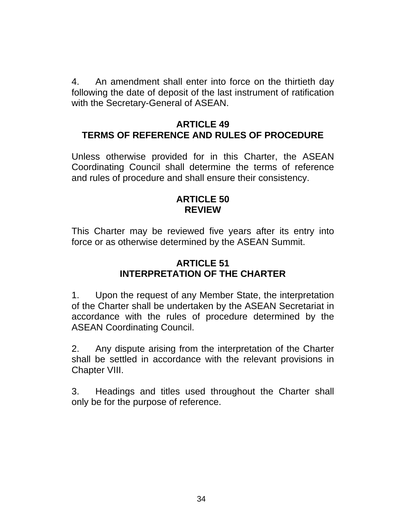4. An amendment shall enter into force on the thirtieth day following the date of deposit of the last instrument of ratification with the Secretary-General of ASEAN.

## **ARTICLE 49 TERMS OF REFERENCE AND RULES OF PROCEDURE**

Unless otherwise provided for in this Charter, the ASEAN Coordinating Council shall determine the terms of reference and rules of procedure and shall ensure their consistency.

#### **ARTICLE 50 REVIEW**

This Charter may be reviewed five years after its entry into force or as otherwise determined by the ASEAN Summit.

## **ARTICLE 51 INTERPRETATION OF THE CHARTER**

1. Upon the request of any Member State, the interpretation of the Charter shall be undertaken by the ASEAN Secretariat in accordance with the rules of procedure determined by the ASEAN Coordinating Council.

2. Any dispute arising from the interpretation of the Charter shall be settled in accordance with the relevant provisions in Chapter VIII.

3. Headings and titles used throughout the Charter shall only be for the purpose of reference.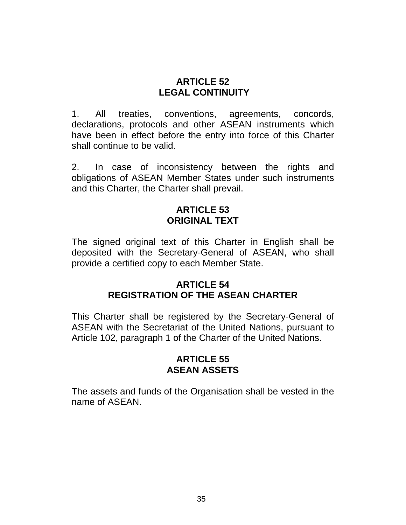#### **ARTICLE 52 LEGAL CONTINUITY**

1. All treaties, conventions, agreements, concords, declarations, protocols and other ASEAN instruments which have been in effect before the entry into force of this Charter shall continue to be valid.

2. In case of inconsistency between the rights and obligations of ASEAN Member States under such instruments and this Charter, the Charter shall prevail.

## **ARTICLE 53 ORIGINAL TEXT**

The signed original text of this Charter in English shall be deposited with the Secretary-General of ASEAN, who shall provide a certified copy to each Member State.

#### **ARTICLE 54 REGISTRATION OF THE ASEAN CHARTER**

This Charter shall be registered by the Secretary-General of ASEAN with the Secretariat of the United Nations, pursuant to Article 102, paragraph 1 of the Charter of the United Nations.

#### **ARTICLE 55 ASEAN ASSETS**

The assets and funds of the Organisation shall be vested in the name of ASEAN.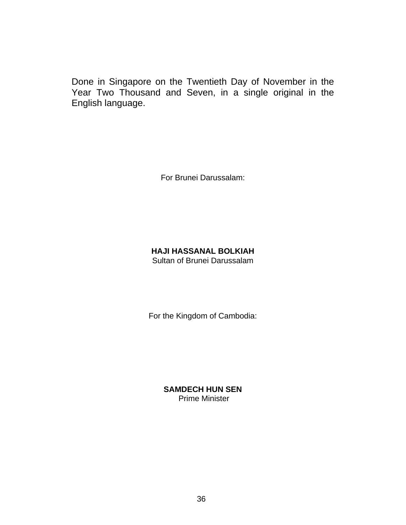Done in Singapore on the Twentieth Day of November in the Year Two Thousand and Seven, in a single original in the English language.

For Brunei Darussalam:

#### **HAJI HASSANAL BOLKIAH** Sultan of Brunei Darussalam

For the Kingdom of Cambodia:

**SAMDECH HUN SEN**  Prime Minister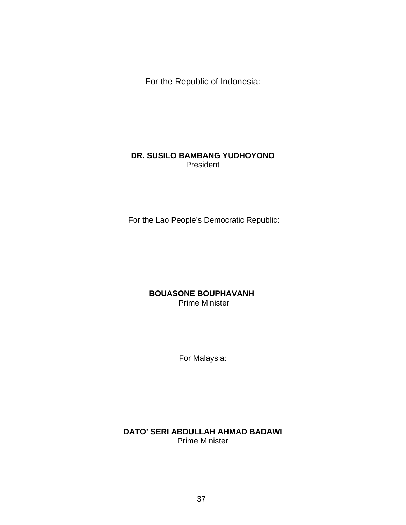For the Republic of Indonesia:

#### **DR. SUSILO BAMBANG YUDHOYONO** President

For the Lao People's Democratic Republic:

#### **BOUASONE BOUPHAVANH** Prime Minister

For Malaysia:

#### **DATO' SERI ABDULLAH AHMAD BADAWI** Prime Minister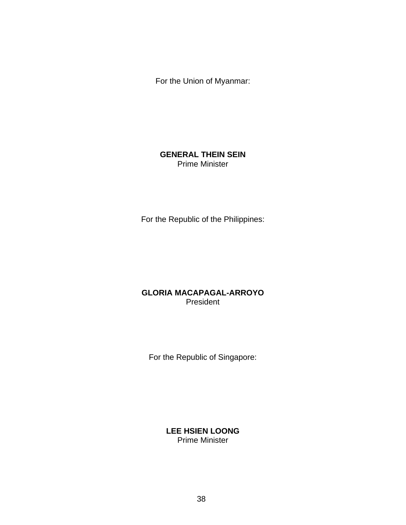For the Union of Myanmar:

#### **GENERAL THEIN SEIN**  Prime Minister

For the Republic of the Philippines:

#### **GLORIA MACAPAGAL-ARROYO** President

For the Republic of Singapore:

**LEE HSIEN LOONG** Prime Minister